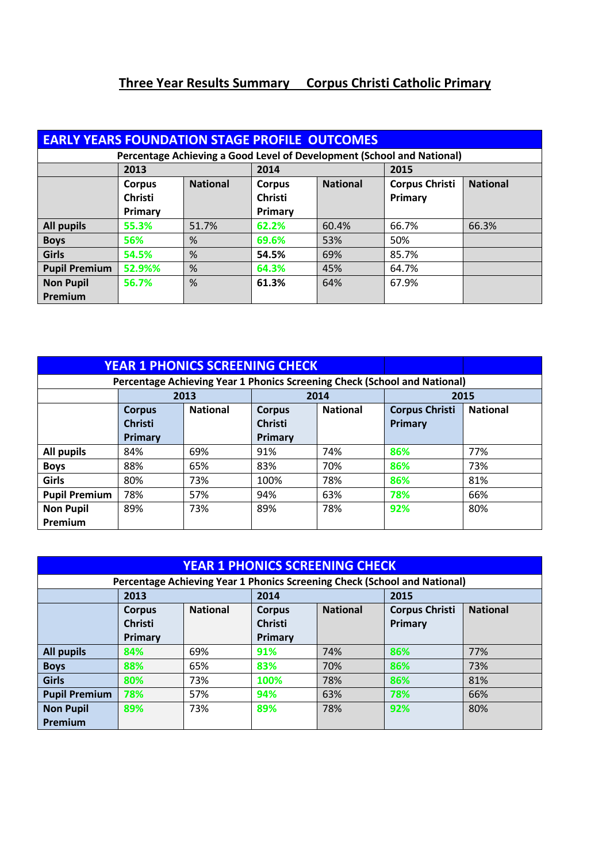## **Three Year Results Summary Corpus Christi Catholic Primary**

| <b>EARLY YEARS FOUNDATION STAGE PROFILE OUTCOMES</b>                   |                      |                                                                              |                |       |         |       |  |  |  |
|------------------------------------------------------------------------|----------------------|------------------------------------------------------------------------------|----------------|-------|---------|-------|--|--|--|
| Percentage Achieving a Good Level of Development (School and National) |                      |                                                                              |                |       |         |       |  |  |  |
|                                                                        | 2014<br>2015<br>2013 |                                                                              |                |       |         |       |  |  |  |
|                                                                        | <b>Corpus</b>        | <b>Corpus Christi</b><br><b>National</b><br><b>National</b><br><b>Corpus</b> |                |       |         |       |  |  |  |
|                                                                        | <b>Christi</b>       |                                                                              | <b>Christi</b> |       | Primary |       |  |  |  |
|                                                                        | Primary              |                                                                              | Primary        |       |         |       |  |  |  |
| <b>All pupils</b>                                                      | 55.3%                | 51.7%                                                                        | 62.2%          | 60.4% | 66.7%   | 66.3% |  |  |  |
| <b>Boys</b>                                                            | 56%                  | %                                                                            | 69.6%          | 53%   | 50%     |       |  |  |  |
| <b>Girls</b>                                                           | 54.5%                | %                                                                            | 54.5%          | 69%   | 85.7%   |       |  |  |  |
| <b>Pupil Premium</b>                                                   | 52.9%%               | %                                                                            | 64.3%          | 45%   | 64.7%   |       |  |  |  |
| <b>Non Pupil</b>                                                       | 56.7%                | %                                                                            | 61.3%          | 64%   | 67.9%   |       |  |  |  |
| Premium                                                                |                      |                                                                              |                |       |         |       |  |  |  |

|                                                                           | <b>YEAR 1 PHONICS SCREENING CHECK</b> |     |                |                 |                       |                 |  |  |
|---------------------------------------------------------------------------|---------------------------------------|-----|----------------|-----------------|-----------------------|-----------------|--|--|
| Percentage Achieving Year 1 Phonics Screening Check (School and National) |                                       |     |                |                 |                       |                 |  |  |
|                                                                           | 2013<br>2014                          |     |                |                 |                       | 2015            |  |  |
|                                                                           | <b>National</b><br><b>Corpus</b>      |     | <b>Corpus</b>  | <b>National</b> | <b>Corpus Christi</b> | <b>National</b> |  |  |
|                                                                           | <b>Christi</b>                        |     | <b>Christi</b> |                 | Primary               |                 |  |  |
|                                                                           | Primary                               |     | Primary        |                 |                       |                 |  |  |
| <b>All pupils</b>                                                         | 84%                                   | 69% | 91%            | 74%             | 86%                   | 77%             |  |  |
| <b>Boys</b>                                                               | 88%                                   | 65% | 83%            | 70%             | 86%                   | 73%             |  |  |
| <b>Girls</b>                                                              | 80%                                   | 73% | 100%           | 78%             | 86%                   | 81%             |  |  |
| <b>Pupil Premium</b>                                                      | 78%                                   | 57% | 94%            | 63%             | 78%                   | 66%             |  |  |
| <b>Non Pupil</b>                                                          | 89%                                   | 73% | 89%            | 78%             | 92%                   | 80%             |  |  |
| Premium                                                                   |                                       |     |                |                 |                       |                 |  |  |

| <b>YEAR 1 PHONICS SCREENING CHECK</b>                                     |                      |                                                     |                |     |         |                 |  |  |
|---------------------------------------------------------------------------|----------------------|-----------------------------------------------------|----------------|-----|---------|-----------------|--|--|
| Percentage Achieving Year 1 Phonics Screening Check (School and National) |                      |                                                     |                |     |         |                 |  |  |
|                                                                           | 2013<br>2014<br>2015 |                                                     |                |     |         |                 |  |  |
|                                                                           | <b>Corpus</b>        | <b>National</b><br><b>National</b><br><b>Corpus</b> |                |     |         | <b>National</b> |  |  |
|                                                                           | Christi              |                                                     | <b>Christi</b> |     | Primary |                 |  |  |
|                                                                           | <b>Primary</b>       |                                                     | Primary        |     |         |                 |  |  |
| <b>All pupils</b>                                                         | 84%                  | 69%                                                 | 91%            | 74% | 86%     | 77%             |  |  |
| <b>Boys</b>                                                               | 88%                  | 65%                                                 | 83%            | 70% | 86%     | 73%             |  |  |
| <b>Girls</b>                                                              | 80%                  | 73%                                                 | 100%           | 78% | 86%     | 81%             |  |  |
| <b>Pupil Premium</b>                                                      | 78%                  | 57%                                                 | 94%            | 63% | 78%     | 66%             |  |  |
| <b>Non Pupil</b>                                                          | 89%                  | 73%                                                 | 89%            | 78% | 92%     | 80%             |  |  |
| <b>Premium</b>                                                            |                      |                                                     |                |     |         |                 |  |  |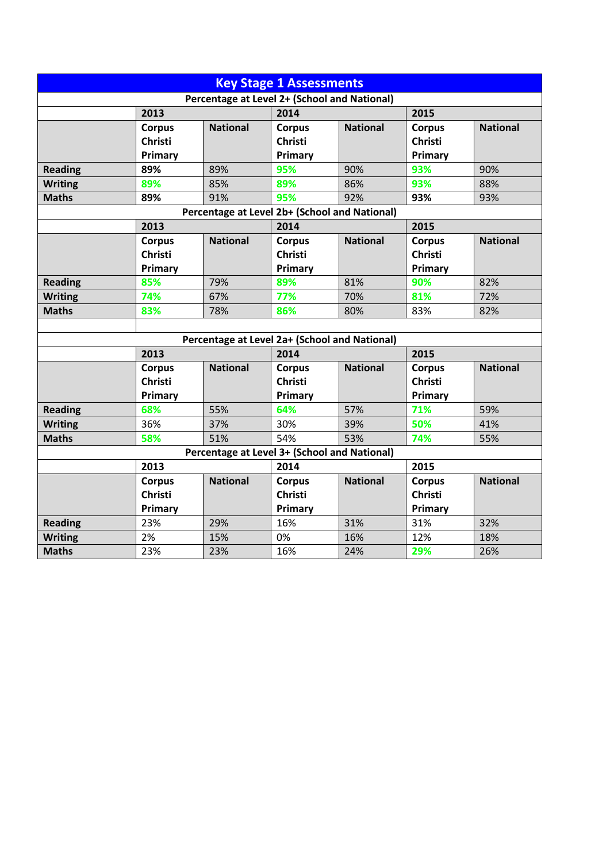|                                              |                |                 | <b>Key Stage 1 Assessments</b>                |                 |                |                 |  |  |
|----------------------------------------------|----------------|-----------------|-----------------------------------------------|-----------------|----------------|-----------------|--|--|
| Percentage at Level 2+ (School and National) |                |                 |                                               |                 |                |                 |  |  |
|                                              | 2013           |                 | 2014                                          |                 | 2015           |                 |  |  |
|                                              | <b>Corpus</b>  | <b>National</b> | <b>Corpus</b>                                 | <b>National</b> | <b>Corpus</b>  | <b>National</b> |  |  |
|                                              | <b>Christi</b> |                 | <b>Christi</b>                                |                 | <b>Christi</b> |                 |  |  |
|                                              | Primary        |                 | Primary                                       |                 | Primary        |                 |  |  |
| <b>Reading</b>                               | 89%            | 89%             | 95%                                           | 90%             | 93%            | 90%             |  |  |
| <b>Writing</b>                               | 89%            | 85%             | 89%                                           | 86%             | 93%            | 88%             |  |  |
| <b>Maths</b>                                 | 89%            | 91%             | 95%                                           | 92%             | 93%            | 93%             |  |  |
|                                              |                |                 | Percentage at Level 2b+ (School and National) |                 |                |                 |  |  |
|                                              | 2013           |                 | 2014                                          |                 | 2015           |                 |  |  |
|                                              | <b>Corpus</b>  | <b>National</b> | <b>Corpus</b>                                 | <b>National</b> | <b>Corpus</b>  | <b>National</b> |  |  |
|                                              | <b>Christi</b> |                 | <b>Christi</b>                                |                 | Christi        |                 |  |  |
|                                              | Primary        |                 | Primary                                       |                 | Primary        |                 |  |  |
| <b>Reading</b>                               | 85%            | 79%             | 89%                                           | 81%             | 90%            | 82%             |  |  |
| <b>Writing</b>                               | 74%            | 67%             | 77%                                           | 70%             | 81%            | 72%             |  |  |
| <b>Maths</b>                                 | 83%            | 78%             | 86%                                           | 80%             | 83%            | 82%             |  |  |
|                                              |                |                 |                                               |                 |                |                 |  |  |
|                                              |                |                 | Percentage at Level 2a+ (School and National) |                 |                |                 |  |  |
|                                              | 2013           |                 | 2014                                          |                 | 2015           |                 |  |  |
|                                              | <b>Corpus</b>  | <b>National</b> | <b>Corpus</b>                                 | <b>National</b> | <b>Corpus</b>  | <b>National</b> |  |  |
|                                              | <b>Christi</b> |                 | <b>Christi</b>                                |                 | <b>Christi</b> |                 |  |  |
|                                              | Primary        |                 | Primary                                       |                 | Primary        |                 |  |  |
| <b>Reading</b>                               | 68%            | 55%             | 64%                                           | 57%             | 71%            | 59%             |  |  |
| <b>Writing</b>                               | 36%            | 37%             | 30%                                           | 39%             | 50%            | 41%             |  |  |
| <b>Maths</b>                                 | 58%            | 51%             | 54%                                           | 53%             | 74%            | 55%             |  |  |
|                                              |                |                 | Percentage at Level 3+ (School and National)  |                 |                |                 |  |  |
|                                              | 2013           |                 | 2014                                          |                 | 2015           |                 |  |  |
|                                              | <b>Corpus</b>  | <b>National</b> | <b>Corpus</b>                                 | <b>National</b> | <b>Corpus</b>  | <b>National</b> |  |  |
|                                              | <b>Christi</b> |                 | <b>Christi</b>                                |                 | Christi        |                 |  |  |
|                                              | Primary        |                 | Primary                                       |                 | Primary        |                 |  |  |
| <b>Reading</b>                               | 23%            | 29%             | 16%                                           | 31%             | 31%            | 32%             |  |  |
| <b>Writing</b>                               | 2%             | 15%             | 0%                                            | 16%             | 12%            | 18%             |  |  |
| <b>Maths</b>                                 | 23%            | 23%             | 16%                                           | 24%             | 29%            | 26%             |  |  |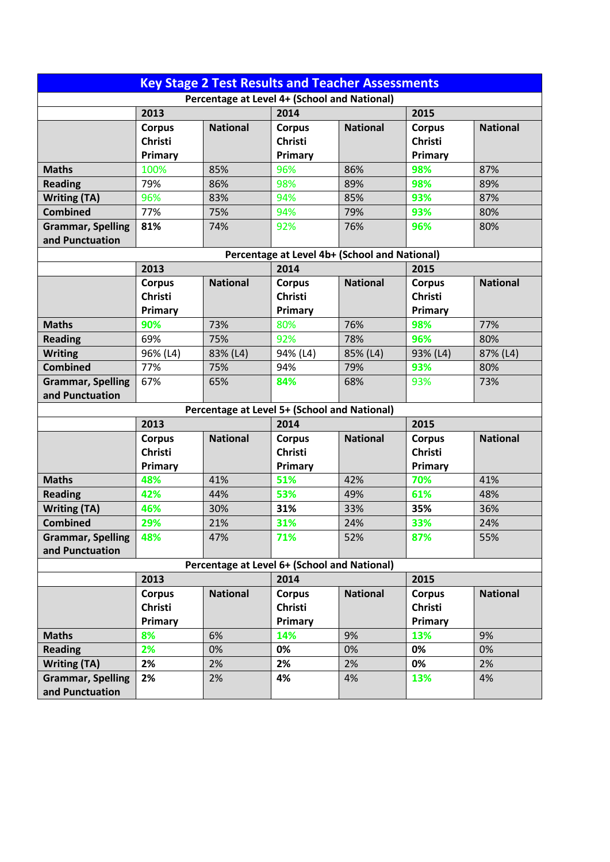| <b>Key Stage 2 Test Results and Teacher Assessments</b> |                    |                 |                                                      |                 |                                 |                 |  |  |
|---------------------------------------------------------|--------------------|-----------------|------------------------------------------------------|-----------------|---------------------------------|-----------------|--|--|
| Percentage at Level 4+ (School and National)            |                    |                 |                                                      |                 |                                 |                 |  |  |
|                                                         | 2013               |                 | 2014                                                 |                 | 2015                            |                 |  |  |
|                                                         | <b>Corpus</b>      | <b>National</b> | <b>Corpus</b>                                        | <b>National</b> | <b>Corpus</b>                   | <b>National</b> |  |  |
|                                                         | <b>Christi</b>     |                 | <b>Christi</b>                                       |                 | <b>Christi</b>                  |                 |  |  |
|                                                         | Primary            |                 | Primary                                              |                 | Primary                         |                 |  |  |
| <b>Maths</b>                                            | 100%               | 85%             | 96%                                                  | 86%             | 98%                             | 87%             |  |  |
| <b>Reading</b>                                          | 79%                | 86%             | 98%                                                  | 89%             | 98%                             | 89%             |  |  |
| <b>Writing (TA)</b>                                     | 96%                | 83%             | 94%                                                  | 85%             | 93%                             | 87%             |  |  |
| <b>Combined</b>                                         | 77%                | 75%             | 94%                                                  | 79%             | 93%                             | 80%             |  |  |
| <b>Grammar, Spelling</b>                                | 81%                | 74%             | 92%                                                  | 76%             | 96%                             | 80%             |  |  |
| and Punctuation                                         |                    |                 |                                                      |                 |                                 |                 |  |  |
|                                                         |                    |                 | Percentage at Level 4b+ (School and National)        |                 |                                 |                 |  |  |
|                                                         | 2013               |                 | 2014                                                 |                 | 2015                            |                 |  |  |
|                                                         | <b>Corpus</b>      | <b>National</b> | <b>Corpus</b>                                        | <b>National</b> | <b>Corpus</b>                   | <b>National</b> |  |  |
|                                                         | <b>Christi</b>     |                 | <b>Christi</b>                                       |                 | <b>Christi</b>                  |                 |  |  |
|                                                         | Primary            |                 | Primary                                              |                 | Primary                         |                 |  |  |
| <b>Maths</b>                                            | 90%                | 73%             | 80%                                                  | 76%             | 98%                             | 77%             |  |  |
| <b>Reading</b>                                          | 69%                | 75%             | 92%                                                  | 78%             | 96%                             | 80%             |  |  |
| <b>Writing</b>                                          | 96% (L4)           | 83% (L4)        | 94% (L4)                                             | 85% (L4)        | 93% (L4)                        | 87% (L4)        |  |  |
| <b>Combined</b>                                         | 77%                | 75%             | 94%                                                  | 79%             | 93%                             | 80%             |  |  |
| <b>Grammar, Spelling</b>                                | 67%                | 65%             | 84%                                                  | 68%             | 93%                             | 73%             |  |  |
| and Punctuation                                         |                    |                 |                                                      |                 |                                 |                 |  |  |
|                                                         |                    |                 | Percentage at Level 5+ (School and National)         |                 |                                 |                 |  |  |
|                                                         | 2013               |                 | 2014                                                 |                 | 2015                            |                 |  |  |
|                                                         | <b>Corpus</b>      | <b>National</b> | <b>Corpus</b>                                        | <b>National</b> | <b>Corpus</b>                   | <b>National</b> |  |  |
|                                                         | <b>Christi</b>     |                 | <b>Christi</b>                                       |                 | Christi                         |                 |  |  |
|                                                         | Primary            |                 | Primary                                              |                 | Primary                         |                 |  |  |
| <b>Maths</b>                                            | 48%                | 41%             | 51%                                                  | 42%             | 70%                             | 41%             |  |  |
| <b>Reading</b>                                          | 42%                | 44%             | 53%                                                  | 49%             | 61%                             | 48%             |  |  |
| <b>Writing (TA)</b>                                     | 46%                | 30%             | 31%                                                  | 33%             | 35%                             | 36%             |  |  |
| <b>Combined</b>                                         | 29%                | 21%             | 31%                                                  | 24%             | 33%                             | 24%             |  |  |
| <b>Grammar, Spelling</b>                                | 48%                | 47%             | 71%                                                  | 52%             | 87%                             | 55%             |  |  |
| and Punctuation                                         |                    |                 |                                                      |                 |                                 |                 |  |  |
|                                                         |                    |                 | Percentage at Level 6+ (School and National)<br>2014 |                 |                                 |                 |  |  |
|                                                         | 2013               |                 |                                                      |                 | 2015                            |                 |  |  |
|                                                         | <b>Corpus</b>      | <b>National</b> | <b>Corpus</b>                                        | <b>National</b> | <b>Corpus</b><br><b>Christi</b> | <b>National</b> |  |  |
|                                                         | Christi<br>Primary |                 | Christi<br>Primary                                   |                 | Primary                         |                 |  |  |
| <b>Maths</b>                                            | 8%                 | 6%              | 14%                                                  | 9%              | 13%                             | 9%              |  |  |
|                                                         | 2%                 | 0%              | 0%                                                   | 0%              | 0%                              | 0%              |  |  |
| <b>Reading</b><br><b>Writing (TA)</b>                   | 2%                 | 2%              | 2%                                                   | 2%              | 0%                              | 2%              |  |  |
|                                                         |                    |                 |                                                      |                 |                                 |                 |  |  |
| <b>Grammar, Spelling</b><br>and Punctuation             | 2%                 | 2%              | 4%                                                   | 4%              | 13%                             | 4%              |  |  |